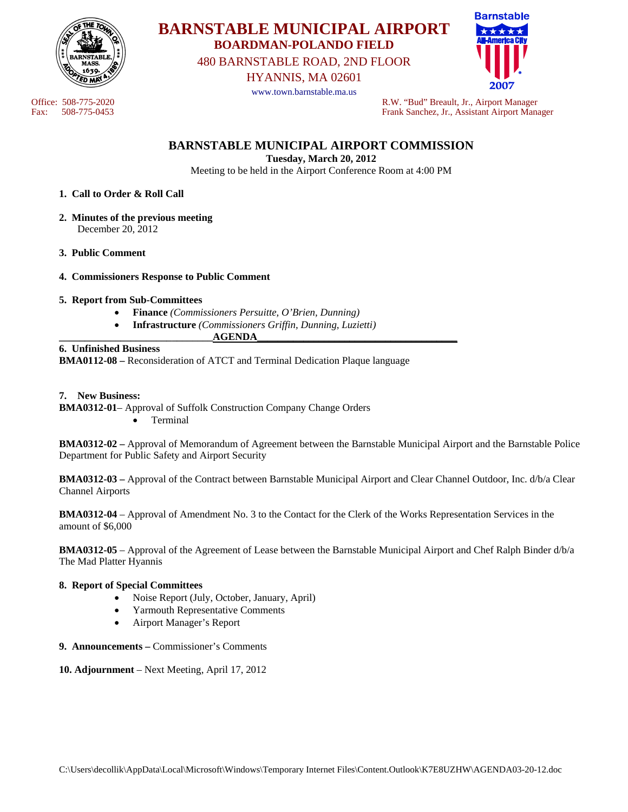

# **BARNSTABLE MUNICIPAL AIRPORT BOARDMAN-POLANDO FIELD**

480 BARNSTABLE ROAD, 2ND FLOOR

HYANNIS, MA 02601

www.town.barnstable.ma.us



Office: 508-775-2020<br>
Fax: 508-775-0453<br>
Frank Sanchez, Jr., Assistant Airport Manager Fax: 508-775-0453 Frank Sanchez, Jr., Assistant Airport Manager

# **BARNSTABLE MUNICIPAL AIRPORT COMMISSION**

**Tuesday, March 20, 2012** 

Meeting to be held in the Airport Conference Room at 4:00 PM

### **1. Call to Order & Roll Call**

- **2. Minutes of the previous meeting**  December 20, 2012
- **3. Public Comment**

### **4. Commissioners Response to Public Comment**

### **5. Report from Sub-Committees**

- **Finance** *(Commissioners Persuitte, O'Brien, Dunning)*
- **Infrastructure** *(Commissioners Griffin, Dunning, Luzietti)*   $\bf{AGENDA}$

#### **6. Unfinished Business**

**BMA0112-08 –** Reconsideration of ATCT and Terminal Dedication Plaque language

#### **7. New Business:**

**BMA0312-01**– Approval of Suffolk Construction Company Change Orders • Terminal

**BMA0312-02 –** Approval of Memorandum of Agreement between the Barnstable Municipal Airport and the Barnstable Police Department for Public Safety and Airport Security

**BMA0312-03 –** Approval of the Contract between Barnstable Municipal Airport and Clear Channel Outdoor, Inc. d/b/a Clear Channel Airports

**BMA0312-04** – Approval of Amendment No. 3 to the Contact for the Clerk of the Works Representation Services in the amount of \$6,000

**BMA0312-05** – Approval of the Agreement of Lease between the Barnstable Municipal Airport and Chef Ralph Binder d/b/a The Mad Platter Hyannis

### **8. Report of Special Committees**

- Noise Report (July, October, January, April)
- Yarmouth Representative Comments
- Airport Manager's Report
- **9. Announcements** Commissioner's Comments
- **10. Adjournment** Next Meeting, April 17, 2012